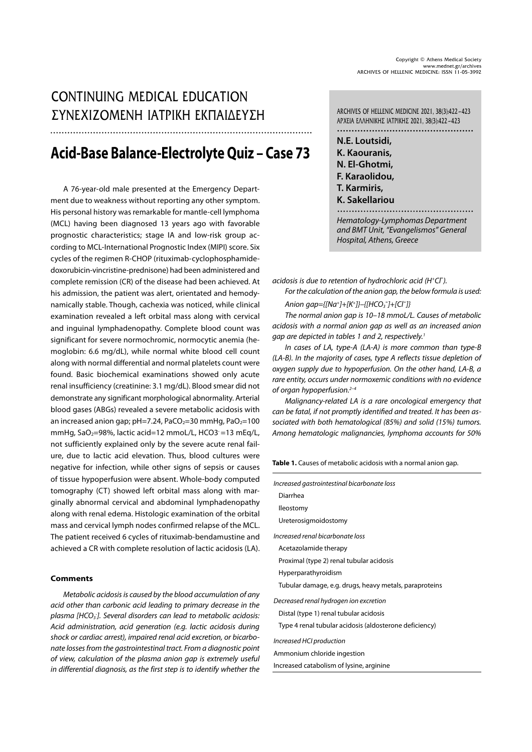## CONTINUING MEDICAL EDUCATION  $\Sigma YNEXIZOMENH IATPIKH EKTAIAEY\Sigma H$  ARCHIVES OF HELLENIC MEDICINE 2021, 38(3):422-423

# **Acid-Base Balance-Electrolyte Quiz – Case 73**

A 76-year-old male presented at the Emergency Department due to weakness without reporting any other symptom. His personal history was remarkable for mantle-cell lymphoma (MCL) having been diagnosed 13 years ago with favorable prognostic characteristics; stage IA and low-risk group according to MCL-International Prognostic Index (MIPI) score. Six cycles of the regimen R-CHOP (rituximab-cyclophosphamidedoxorubicin-vincristine-prednisone) had been administered and complete remission (CR) of the disease had been achieved. At his admission, the patient was alert, orientated and hemodynamically stable. Though, cachexia was noticed, while clinical examination revealed a left orbital mass along with cervical and inguinal lymphadenopathy. Complete blood count was significant for severe normochromic, normocytic anemia (hemoglobin: 6.6 mg/dL), while normal white blood cell count along with normal differential and normal platelets count were found. Basic biochemical examinations showed only acute renal insufficiency (creatinine: 3.1 mg/dL). Blood smear did not demonstrate any significant morphological abnormality. Arterial blood gases (ABGs) revealed a severe metabolic acidosis with an increased anion gap;  $pH=7.24$ , PaCO<sub>2</sub>=30 mmHg, PaO<sub>2</sub>=100 mmHg, SaO<sub>2</sub>=98%, lactic acid=12 mmoL/L, HCO3 =13 mEq/L, not sufficiently explained only by the severe acute renal failure, due to lactic acid elevation. Thus, blood cultures were negative for infection, while other signs of sepsis or causes of tissue hypoperfusion were absent. Whole-body computed tomography (CT) showed left orbital mass along with marginally abnormal cervical and abdominal lymphadenopathy along with renal edema. Histologic examination of the orbital mass and cervical lymph nodes confirmed relapse of the MCL. The patient received 6 cycles of rituximab-bendamustine and achieved a CR with complete resolution of lactic acidosis (LA).

## **Comments**

Metabolic acidosis is caused by the blood accumulation of any acid other than carbonic acid leading to primary decrease in the plasma [HCO<sub>3</sub>]. Several disorders can lead to metabolic acidosis: Acid administration, acid generation (e.g. lactic acidosis during shock or cardiac arrest), impaired renal acid excretion, or bicarbonate losses from the gastrointestinal tract. From a diagnostic point of view, calculation of the plasma anion gap is extremely useful in differential diagnosis, as the first step is to identify whether the

ÁÑ×ÅÉÁ ÅËËÇÍÉÊÇÓ ÉÁÔÑÉÊÇÓ 2021, 38(3):422-423 ...............................................

**N.E. Loutsidi, K. Kaouranis, N. El-Ghotmi, F. Karaolidou, T. Karmiris, K. Sakellariou** 

Hematology-Lymphomas Department and BMT Unit, "Evangelismos" General Hospital, Athens, Greece

 $a$ cidosis is due to retention of hydrochloric  $a$ cid (H<sup>+</sup>Cl<sup>-</sup>).

For the calculation of the anion gap, the below formula is used:

Anion gap={[Na<sup>+</sup>]+[K<sup>+</sup>]}-{[HCO<sub>3</sub><sup>-</sup>]+[Cl<sup>-</sup>]}

The normal anion gap is 10–18 mmoL/L. Causes of metabolic acidosis with a normal anion gap as well as an increased anion gap are depicted in tables 1 and 2, respectively.<sup>1</sup>

In cases of LA, type-A (LA-A) is more common than type-B (LA-B). In the majority of cases, type A reflects tissue depletion of oxygen supply due to hypoperfusion. On the other hand, LA-B, a rare entity, occurs under normoxemic conditions with no evidence of organ hypoperfusion. $2-4$ 

Malignancy-related LA is a rare oncological emergency that can be fatal, if not promptly identified and treated. It has been associated with both hematological (85%) and solid (15%) tumors. Among hematologic malignancies, lymphoma accounts for 50%

Table 1. Causes of metabolic acidosis with a normal anion gap.

|                                  | Increased gastrointestinal bicarbonate loss            |
|----------------------------------|--------------------------------------------------------|
| Diarrhea                         |                                                        |
| lleostomy                        |                                                        |
| Ureterosigmoidostomy             |                                                        |
| Increased renal bicarbonate loss |                                                        |
| Acetazolamide therapy            |                                                        |
|                                  | Proximal (type 2) renal tubular acidosis               |
| Hyperparathyroidism              |                                                        |
|                                  | Tubular damage, e.g. drugs, heavy metals, paraproteins |
|                                  | Decreased renal hydrogen ion excretion                 |
|                                  | Distal (type 1) renal tubular acidosis                 |
|                                  | Type 4 renal tubular acidosis (aldosterone deficiency) |
| Increased HCI production         |                                                        |
| Ammonium chloride ingestion      |                                                        |
|                                  | Increased catabolism of lysine, arginine               |